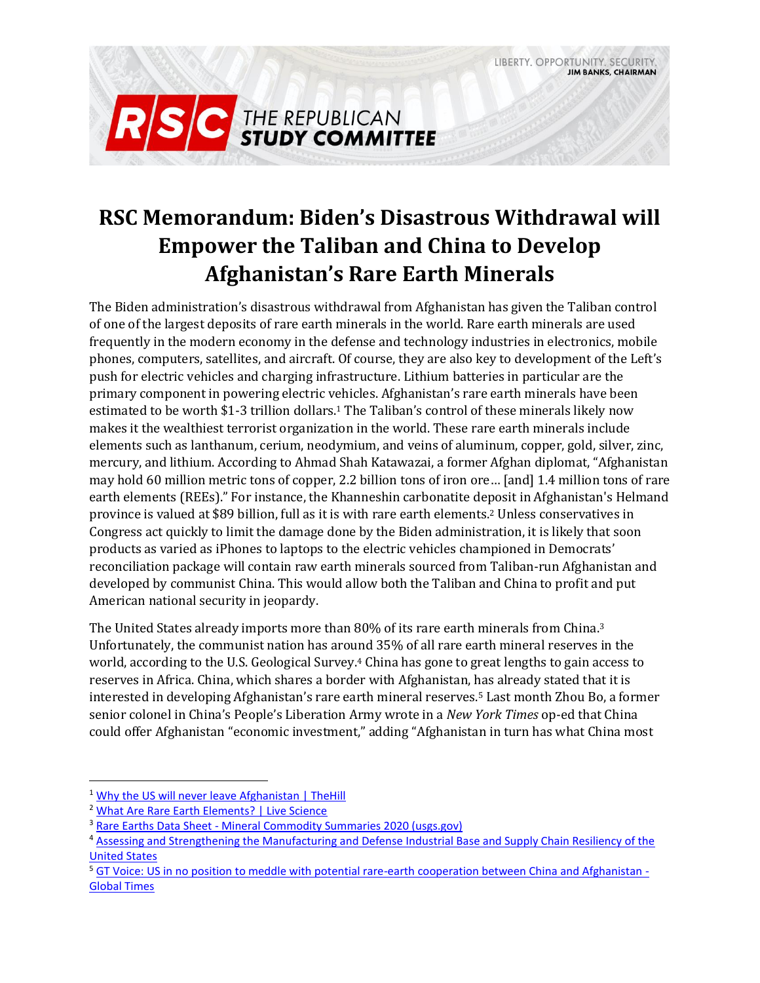LIBERTY. OPPORTUNITY. SECURITY **JIM BANKS, CHAIRMAN** 



# **RSC Memorandum: Biden's Disastrous Withdrawal will Empower the Taliban and China to Develop Afghanistan's Rare Earth Minerals**

The Biden administration's disastrous withdrawal from Afghanistan has given the Taliban control of one of the largest deposits of rare earth minerals in the world. Rare earth minerals are used frequently in the modern economy in the defense and technology industries in electronics, mobile phones, computers, satellites, and aircraft. Of course, they are also key to development of the Left's push for electric vehicles and charging infrastructure. Lithium batteries in particular are the primary component in powering electric vehicles. Afghanistan's rare earth minerals have been estimated to be worth \$1-3 trillion dollars.<sup>1</sup> The Taliban's control of these minerals likely now makes it the wealthiest terrorist organization in the world. These rare earth minerals include elements such as lanthanum, cerium, neodymium, and veins of aluminum, copper, gold, silver, zinc, mercury, and lithium. According to Ahmad Shah Katawazai, a former Afghan diplomat, "Afghanistan may hold 60 million metric tons of copper, 2.2 billion tons of iron ore… [and] 1.4 million tons of rare earth elements (REEs)." For instance, the Khanneshin carbonatite deposit in Afghanistan's Helmand province is valued at \$89 billion, full as it is with rare earth elements.<sup>2</sup> Unless conservatives in Congress act quickly to limit the damage done by the Biden administration, it is likely that soon products as varied as iPhones to laptops to the electric vehicles championed in Democrats' reconciliation package will contain raw earth minerals sourced from Taliban-run Afghanistan and developed by communist China. This would allow both the Taliban and China to profit and put American national security in jeopardy.

The United States already imports more than 80% of its rare earth minerals from China.<sup>3</sup> Unfortunately, the communist nation has around 35% of all rare earth mineral reserves in the world, according to the U.S. Geological Survey.<sup>4</sup> China has gone to great lengths to gain access to reserves in Africa. China, which shares a border with Afghanistan, has already stated that it is interested in developing Afghanistan's rare earth mineral reserves.<sup>5</sup> Last month Zhou Bo, a former senior colonel in China's People's Liberation Army wrote in a *New York Times* op-ed that China could offer Afghanistan "economic investment," adding "Afghanistan in turn has what China most

<sup>&</sup>lt;sup>1</sup> [Why the US will never leave Afghanistan | TheHill](https://thehill.com/blogs/congress-blog/foreign-policy/548557-why-the-us-will-never-leave-afghanistan?rl=1)

<sup>&</sup>lt;sup>2</sup> [What Are Rare Earth Elements? | Live Science](https://www.livescience.com/6601-rare-earth-elements.html)

<sup>3</sup> Rare Earths Data Sheet - [Mineral Commodity Summaries 2020 \(usgs.gov\)](https://pubs.usgs.gov/periodicals/mcs2020/mcs2020-rare-earths.pdf)

<sup>&</sup>lt;sup>4</sup> Assessing and Strengthening the Manufacturing and Defense Industrial Base and Supply Chain Resiliency of the [United States](https://media.defense.gov/2018/Oct/05/2002048904/-1/-1/1/ASSESSING-AND-STRENGTHENING-THE-MANUFACTURING-AND%20DEFENSE-INDUSTRIAL-BASE-AND-SUPPLY-CHAIN-RESILIENCY.PDF)

<sup>&</sup>lt;sup>5</sup> [GT Voice: US in no position to meddle with potential rare-earth cooperation between China and Afghanistan -](https://www.globaltimes.cn/page/202108/1231893.shtml) [Global Times](https://www.globaltimes.cn/page/202108/1231893.shtml)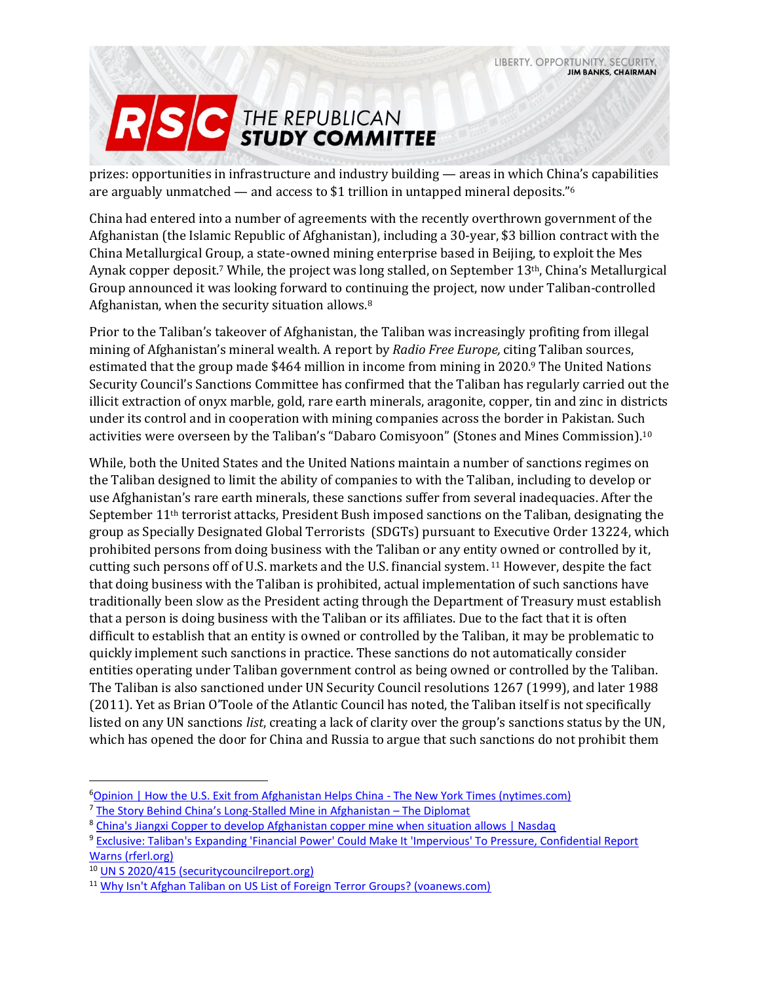

prizes: opportunities in infrastructure and industry building — areas in which China's capabilities are arguably unmatched — and access to \$1 trillion in untapped mineral deposits." $6$ 

China had entered into a number of agreements with the recently overthrown government of the Afghanistan (the Islamic Republic of Afghanistan), including a 30-year, \$3 billion contract with the China Metallurgical Group, a state-owned mining enterprise based in Beijing, to exploit the Mes Aynak copper deposit.<sup>7</sup> While, the project was long stalled, on September 13<sup>th</sup>, China's Metallurgical Group announced it was looking forward to continuing the project, now under Taliban-controlled Afghanistan, when the security situation allows.<sup>8</sup>

Prior to the Taliban's takeover of Afghanistan, the Taliban was increasingly profiting from illegal mining of Afghanistan's mineral wealth. A report by *Radio Free Europe,* citing Taliban sources, estimated that the group made \$464 million in income from mining in 2020.<sup>9</sup> The United Nations Security Council's Sanctions Committee has confirmed that the Taliban has regularly carried out the illicit extraction of onyx marble, gold, rare earth minerals, aragonite, copper, tin and zinc in districts under its control and in cooperation with mining companies across the border in Pakistan. Such activities were overseen by the Taliban's "Dabaro Comisyoon" (Stones and Mines Commission).<sup>10</sup>

While, both the United States and the United Nations maintain a number of sanctions regimes on the Taliban designed to limit the ability of companies to with the Taliban, including to develop or use Afghanistan's rare earth minerals, these sanctions suffer from several inadequacies. After the September  $11<sup>th</sup>$  terrorist attacks, President Bush imposed sanctions on the Taliban, designating the group as Specially Designated Global Terrorists (SDGTs) pursuant to Executive Order 13224, which prohibited persons from doing business with the Taliban or any entity owned or controlled by it, cutting such persons off of U.S. markets and the U.S. financial system. <sup>11</sup> However, despite the fact that doing business with the Taliban is prohibited, actual implementation of such sanctions have traditionally been slow as the President acting through the Department of Treasury must establish that a person is doing business with the Taliban or its affiliates. Due to the fact that it is often difficult to establish that an entity is owned or controlled by the Taliban, it may be problematic to quickly implement such sanctions in practice. These sanctions do not automatically consider entities operating under Taliban government control as being owned or controlled by the Taliban. The Taliban is also sanctioned under UN Security Council resolutions 1267 (1999), and later 1988 (2011). Yet as Brian O'Toole of the Atlantic Council has noted, the Taliban itself is not specifically listed on any UN sanctions *list*, creating a lack of clarity over the group's sanctions status by the UN, which has opened the door for China and Russia to argue that such sanctions do not prohibit them

<sup>6</sup>[Opinion | How the U.S. Exit from Afghanistan Helps China -](https://www.nytimes.com/2021/08/20/opinion/china-afghanistan-taliban.html) The New York Times (nytimes.com)

<sup>7</sup> [The Story Behind China's Long](https://thediplomat.com/2017/01/the-story-behind-chinas-long-stalled-mine-in-afghanistan/)-Stalled Mine in Afghanistan – The Diplomat

<sup>8</sup> [China's Jiangxi Copper to develop Afghanistan copper mine when situation allows | Nasdaq](https://www.nasdaq.com/articles/chinas-jiangxi-copper-to-develop-afghanistan-copper-mine-when-situation-allows-2021-09-13)

<sup>9</sup> [Exclusive: Taliban's Expanding 'Financial Power' Could Make It 'Impervious' To Pressure, Confidential Report](https://www.rferl.org/a/exclusive-taliban-s-expanding-financial-power-could-make-it-impervious-to-pressure-secret-nato-report-warns/30842570.html)  [Warns \(rferl.org\)](https://www.rferl.org/a/exclusive-taliban-s-expanding-financial-power-could-make-it-impervious-to-pressure-secret-nato-report-warns/30842570.html)

<sup>10</sup> [UN S 2020/415 \(securitycouncilreport.org\)](https://www.securitycouncilreport.org/atf/cf/%7B65BFCF9B-6D27-4E9C-8CD3-CF6E4FF96FF9%7D/s_2020_415_e.pdf)

<sup>&</sup>lt;sup>11</sup> [Why Isn't Afghan Taliban on US List of Foreign Terror Groups? \(voanews.com\)](https://www.voanews.com/a/afghan-taliban-us-list-foreign-terror-groups/3732453.html)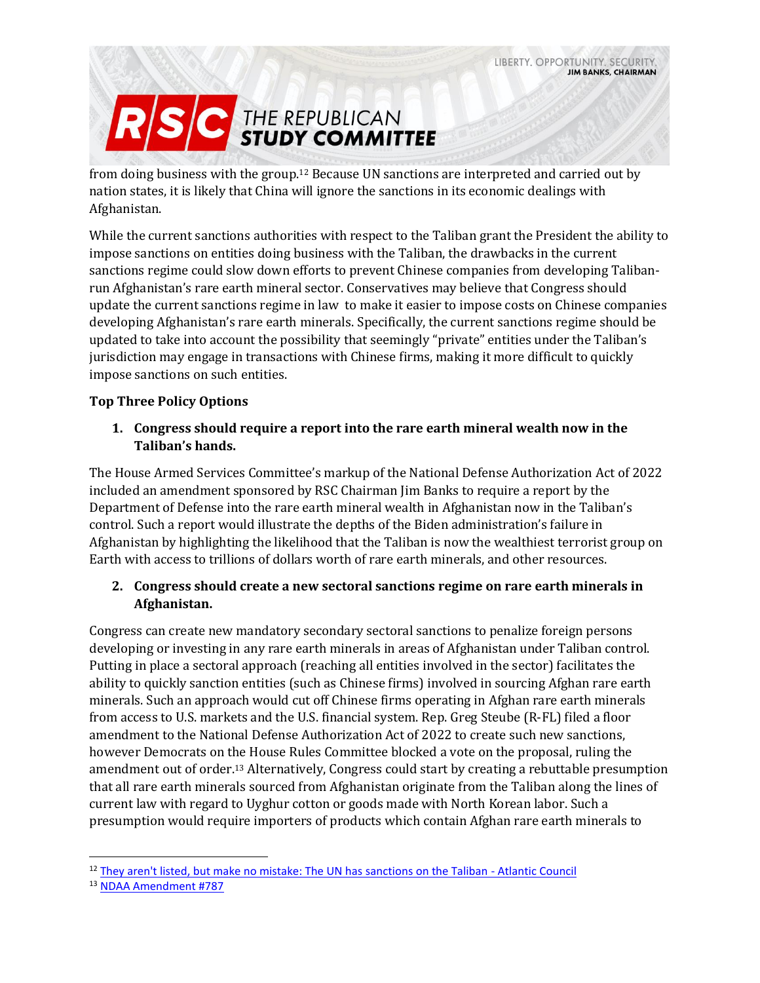

from doing business with the group. <sup>12</sup> Because UN sanctions are interpreted and carried out by nation states, it is likely that China will ignore the sanctions in its economic dealings with Afghanistan.

While the current sanctions authorities with respect to the Taliban grant the President the ability to impose sanctions on entities doing business with the Taliban, the drawbacks in the current sanctions regime could slow down efforts to prevent Chinese companies from developing Talibanrun Afghanistan's rare earth mineral sector. Conservatives may believe that Congress should update the current sanctions regime in law to make it easier to impose costs on Chinese companies developing Afghanistan's rare earth minerals. Specifically, the current sanctions regime should be updated to take into account the possibility that seemingly "private" entities under the Taliban's jurisdiction may engage in transactions with Chinese firms, making it more difficult to quickly impose sanctions on such entities.

#### **Top Three Policy Options**

#### **1. Congress should require a report into the rare earth mineral wealth now in the Taliban's hands.**

The House Armed Services Committee's markup of the National Defense Authorization Act of 2022 included an amendment sponsored by RSC Chairman Jim Banks to require a report by the Department of Defense into the rare earth mineral wealth in Afghanistan now in the Taliban's control. Such a report would illustrate the depths of the Biden administration's failure in Afghanistan by highlighting the likelihood that the Taliban is now the wealthiest terrorist group on Earth with access to trillions of dollars worth of rare earth minerals, and other resources.

## **2. Congress should create a new sectoral sanctions regime on rare earth minerals in Afghanistan.**

Congress can create new mandatory secondary sectoral sanctions to penalize foreign persons developing or investing in any rare earth minerals in areas of Afghanistan under Taliban control. Putting in place a sectoral approach (reaching all entities involved in the sector) facilitates the ability to quickly sanction entities (such as Chinese firms) involved in sourcing Afghan rare earth minerals. Such an approach would cut off Chinese firms operating in Afghan rare earth minerals from access to U.S. markets and the U.S. financial system. Rep. Greg Steube (R-FL) filed a floor amendment to the National Defense Authorization Act of 2022 to create such new sanctions, however Democrats on the House Rules Committee blocked a vote on the proposal, ruling the amendment out of order. <sup>13</sup> Alternatively, Congress could start by creating a rebuttable presumption that all rare earth minerals sourced from Afghanistan originate from the Taliban along the lines of current law with regard to Uyghur cotton or goods made with North Korean labor. Such a presumption would require importers of products which contain Afghan rare earth minerals to

<sup>&</sup>lt;sup>12</sup> [They aren't listed, but make no mistake: The UN has sanctions on the Taliban -](https://www.atlanticcouncil.org/blogs/new-atlanticist/they-arent-listed-but-make-no-mistake-the-un-has-sanctions-on-the-taliban/) Atlantic Council

<sup>13</sup> [NDAA Amendment #787](https://amendments-rules.house.gov/amendments/STEUBE_040_xml210916170457495.pdf)